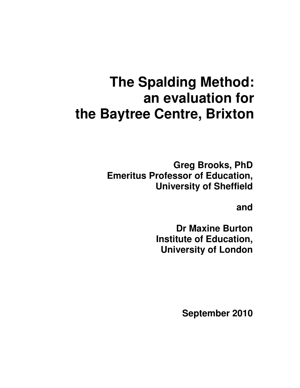# **The Spalding Method: an evaluation for the Baytree Centre, Brixton**

**Greg Brooks, PhD Emeritus Professor of Education, University of Sheffield** 

**and** 

**Dr Maxine Burton Institute of Education, University of London** 

**September 2010**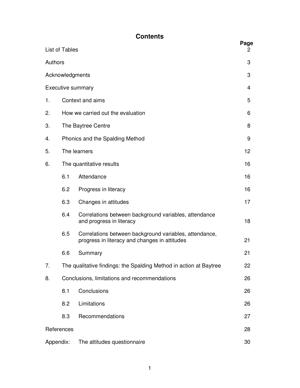### **Contents**

|         | List of Tables                  |                                                                                                         | Page |  |  |  |
|---------|---------------------------------|---------------------------------------------------------------------------------------------------------|------|--|--|--|
| Authors |                                 |                                                                                                         | 3    |  |  |  |
|         | Acknowledgments                 |                                                                                                         | 3    |  |  |  |
|         |                                 | <b>Executive summary</b>                                                                                | 4    |  |  |  |
| 1.      |                                 | Context and aims                                                                                        | 5    |  |  |  |
| 2.      |                                 | How we carried out the evaluation                                                                       |      |  |  |  |
| 3.      |                                 | The Baytree Centre                                                                                      |      |  |  |  |
| 4.      | Phonics and the Spalding Method |                                                                                                         |      |  |  |  |
| 5.      |                                 | The learners                                                                                            | 12   |  |  |  |
| 6.      |                                 | The quantitative results                                                                                | 16   |  |  |  |
|         | 6.1                             | Attendance                                                                                              | 16   |  |  |  |
|         | 6.2                             | Progress in literacy                                                                                    | 16   |  |  |  |
|         | 6.3                             | Changes in attitudes                                                                                    | 17   |  |  |  |
|         | 6.4                             | Correlations between background variables, attendance<br>and progress in literacy                       | 18   |  |  |  |
|         | 6.5                             | Correlations between background variables, attendance,<br>progress in literacy and changes in attitudes | 21   |  |  |  |
|         | 6.6                             | Summary                                                                                                 | 21   |  |  |  |
| 7.      |                                 | The qualitative findings: the Spalding Method in action at Baytree                                      | 22   |  |  |  |
| 8.      |                                 | Conclusions, limitations and recommendations                                                            | 26   |  |  |  |
|         | 8.1                             | Conclusions                                                                                             | 26   |  |  |  |
|         | 8.2                             | Limitations                                                                                             | 26   |  |  |  |
|         | 8.3                             | Recommendations                                                                                         | 27   |  |  |  |
|         | References                      |                                                                                                         | 28   |  |  |  |
|         | Appendix:                       | The attitudes questionnaire                                                                             | 30   |  |  |  |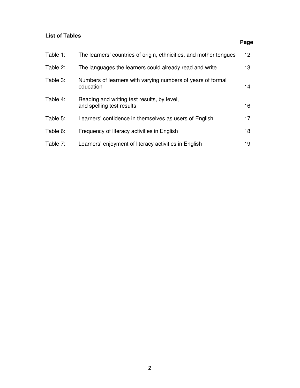#### **List of Tables**

### Table 1: The learners' countries of origin, ethnicities, and mother tongues 12 Table 2: The languages the learners could already read and write 13 Table 3: Numbers of learners with varying numbers of years of formal education and the contract of the contract of the contract of the contract of the contract of the contract of the contract of the contract of the contract of the contract of the contract of the contract of the contract of Table 4: Reading and writing test results, by level, and spelling test results 16 Table 5: Learners' confidence in themselves as users of English 17 Table 6: Frequency of literacy activities in English 18 Table 7: Learners' enjoyment of literacy activities in English 19

**Page**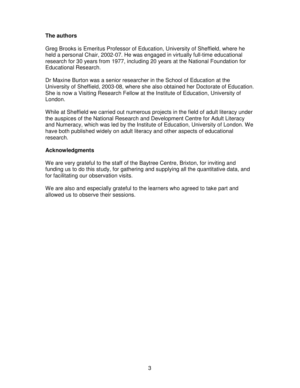#### **The authors**

Greg Brooks is Emeritus Professor of Education, University of Sheffield, where he held a personal Chair, 2002-07. He was engaged in virtually full-time educational research for 30 years from 1977, including 20 years at the National Foundation for Educational Research.

Dr Maxine Burton was a senior researcher in the School of Education at the University of Sheffield, 2003-08, where she also obtained her Doctorate of Education. She is now a Visiting Research Fellow at the Institute of Education, University of London.

While at Sheffield we carried out numerous projects in the field of adult literacy under the auspices of the National Research and Development Centre for Adult Literacy and Numeracy, which was led by the Institute of Education, University of London. We have both published widely on adult literacy and other aspects of educational research.

#### **Acknowledgments**

We are very grateful to the staff of the Baytree Centre, Brixton, for inviting and funding us to do this study, for gathering and supplying all the quantitative data, and for facilitating our observation visits.

We are also and especially grateful to the learners who agreed to take part and allowed us to observe their sessions.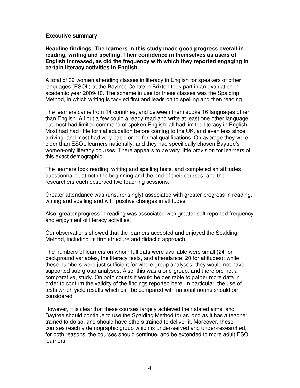#### **Executive summary**

**Headline findings: The learners in this study made good progress overall in reading, writing and spelling. Their confidence in themselves as users of English increased, as did the frequency with which they reported engaging in certain literacy activities in English.** 

A total of 32 women attending classes in literacy in English for speakers of other languages (ESOL) at the Baytree Centre in Brixton took part in an evaluation in academic year 2009/10. The scheme in use for these classes was the Spalding Method, in which writing is tackled first and leads on to spelling and then reading.

The learners came from 14 countries, and between them spoke 16 languages other than English. All but a few could already read and write at least one other language, but most had limited command of spoken English; all had limited literacy in English. Most had had little formal education before coming to the UK, and even less since arriving, and most had very basic or no formal qualifications. On average they were older than ESOL learners nationally, and they had specifically chosen Baytree's women-only literacy courses. There appears to be very little provision for learners of this exact demographic.

The learners took reading, writing and spelling tests, and completed an attitudes questionnaire, at both the beginning and the end of their courses, and the researchers each observed two teaching sessions.

Greater attendance was (unsurprisingly) associated with greater progress in reading, writing and spelling and with positive changes in attitudes.

Also, greater progress in reading was associated with greater self-reported frequency and enjoyment of literacy activities.

Our observations showed that the learners accepted and enjoyed the Spalding Method, including its firm structure and didactic approach.

The numbers of learners on whom full data were available were small (24 for background variables, the literacy tests, and attendance; 20 for attitudes); while these numbers were just sufficient for whole-group analyses, they would not have supported sub-group analyses. Also, this was a one-group, and therefore not a comparative, study. On both counts it would be desirable to gather more data in order to confirm the validity of the findings reported here. In particular, the use of tests which yield results which can be compared with national norms should be considered.

However, it is clear that these courses largely achieved their stated aims, and Baytree should continue to use the Spalding Method for as long as it has a teacher trained to do so, and should have others trained to deliver it. Moreover, these courses reach a demographic group which is under-served and under-researched; for both reasons, the courses should continue, and be extended to more adult ESOL learners.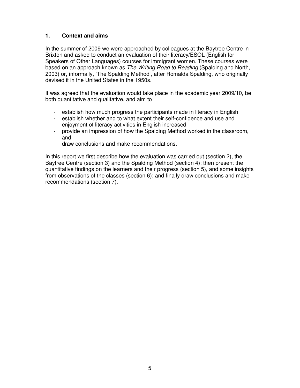#### **1. Context and aims**

In the summer of 2009 we were approached by colleagues at the Baytree Centre in Brixton and asked to conduct an evaluation of their literacy/ESOL (English for Speakers of Other Languages) courses for immigrant women. These courses were based on an approach known as The Writing Road to Reading (Spalding and North, 2003) or, informally, 'The Spalding Method', after Romalda Spalding, who originally devised it in the United States in the 1950s.

It was agreed that the evaluation would take place in the academic year 2009/10, be both quantitative and qualitative, and aim to

- establish how much progress the participants made in literacy in English
- establish whether and to what extent their self-confidence and use and enjoyment of literacy activities in English increased
- provide an impression of how the Spalding Method worked in the classroom, and
- draw conclusions and make recommendations.

In this report we first describe how the evaluation was carried out (section 2), the Baytree Centre (section 3) and the Spalding Method (section 4); then present the quantitative findings on the learners and their progress (section 5), and some insights from observations of the classes (section 6); and finally draw conclusions and make recommendations (section 7).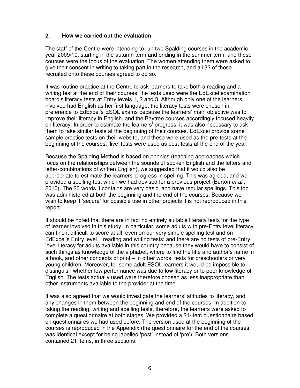#### **2. How we carried out the evaluation**

The staff of the Centre were intending to run two Spalding courses in the academic year 2009/10, starting in the autumn term and ending in the summer term, and these courses were the focus of the evaluation. The women attending them were asked to give their consent in writing to taking part in the research, and all 32 of those recruited onto these courses agreed to do so.

It was routine practice at the Centre to ask learners to take both a reading and a writing test at the end of their courses; the tests used were the EdExcel examination board's literacy tests at Entry levels 1, 2 and 3. Although only one of the learners involved had English as her first language, the literacy tests were chosen in preference to EdExcel's ESOL exams because the learners' main objective was to improve their literacy in English, and the Baytree courses accordingly focused heavily on literacy. In order to estimate the learners' progress, it was also necessary to ask them to take similar tests at the beginning of their courses. EdExcel provide some sample practice tests on their website, and these were used as the pre-tests at the beginning of the courses; 'live' tests were used as post-tests at the end of the year.

Because the Spalding Method is based on phonics (teaching approaches which focus on the relationships between the sounds of spoken English and the letters and letter-combinations of written English), we suggested that it would also be appropriate to estimate the learners' progress in spelling. This was agreed, and we provided a spelling test which we had devised for a previous project (Burton et al., 2010). The 23 words it contains are very basic, and have regular spellings. This too was administered at both the beginning and the end of the courses. Because we wish to keep it 'secure' for possible use in other projects it is not reproduced in this report.

It should be noted that there are in fact no entirely suitable literacy tests for the type of learner involved in this study. In particular, some adults with pre-Entry level literacy can find it difficult to score at all, even on our very simple spelling test and on EdExcel's Entry level 1 reading and writing tests; and there are no tests of pre-Entry level literacy for adults available in this country because they would have to consist of such things as knowledge of the alphabet, where to find the title and author's name in a book, and other concepts of print – in other words, tests for preschoolers or very young children. Moreover, for some adult ESOL learners it would be impossible to distinguish whether low performance was due to low literacy or to poor knowledge of English. The tests actually used were therefore chosen as less inappropriate than other instruments available to the provider at the time.

It was also agreed that we would investigate the learners' attitudes to literacy, and any changes in them between the beginning and end of the courses. In addition to taking the reading, writing and spelling tests, therefore, the learners were asked to complete a questionnaire at both stages. We provided a 21-item questionnaire based on questionnaires we had used before. The version used at the beginning of the courses is reproduced in the Appendix (the questionnaire for the end of the courses was identical except for being labelled 'post' instead of 'pre'). Both versions contained 21 items, in three sections: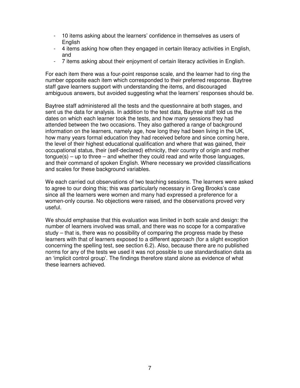- 10 items asking about the learners' confidence in themselves as users of English
- 4 items asking how often they engaged in certain literacy activities in English, and
- 7 items asking about their enjoyment of certain literacy activities in English.

For each item there was a four-point response scale, and the learner had to ring the number opposite each item which corresponded to their preferred response. Baytree staff gave learners support with understanding the items, and discouraged ambiguous answers, but avoided suggesting what the learners' responses should be.

Baytree staff administered all the tests and the questionnaire at both stages, and sent us the data for analysis. In addition to the test data, Baytree staff told us the dates on which each learner took the tests, and how many sessions they had attended between the two occasions. They also gathered a range of background information on the learners, namely age, how long they had been living in the UK, how many years formal education they had received before and since coming here, the level of their highest educational qualification and where that was gained, their occupational status, their (self-declared) ethnicity, their country of origin and mother  $t$ ongue $(s)$  – up to three – and whether they could read and write those languages, and their command of spoken English. Where necessary we provided classifications and scales for these background variables.

We each carried out observations of two teaching sessions. The learners were asked to agree to our doing this; this was particularly necessary in Greg Brooks's case since all the learners were women and many had expressed a preference for a women-only course. No objections were raised, and the observations proved very useful.

We should emphasise that this evaluation was limited in both scale and design: the number of learners involved was small, and there was no scope for a comparative study – that is, there was no possibility of comparing the progress made by these learners with that of learners exposed to a different approach (for a slight exception concerning the spelling test, see section 6.2). Also, because there are no published norms for any of the tests we used it was not possible to use standardisation data as an 'implicit control group'. The findings therefore stand alone as evidence of what these learners achieved.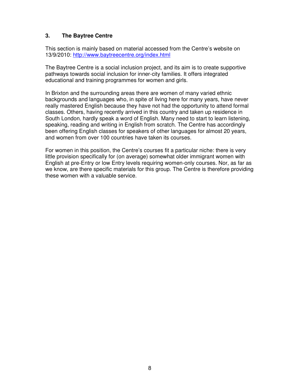#### **3. The Baytree Centre**

This section is mainly based on material accessed from the Centre's website on 13/9/2010: http://www.baytreecentre.org/index.html

The Baytree Centre is a social inclusion project, and its aim is to create supportive pathways towards social inclusion for inner-city families. It offers integrated educational and training programmes for women and girls.

In Brixton and the surrounding areas there are women of many varied ethnic backgrounds and languages who, in spite of living here for many years, have never really mastered English because they have not had the opportunity to attend formal classes. Others, having recently arrived in this country and taken up residence in South London, hardly speak a word of English. Many need to start to learn listening, speaking, reading and writing in English from scratch. The Centre has accordingly been offering English classes for speakers of other languages for almost 20 years, and women from over 100 countries have taken its courses.

For women in this position, the Centre's courses fit a particular niche: there is very little provision specifically for (on average) somewhat older immigrant women with English at pre-Entry or low Entry levels requiring women-only courses. Nor, as far as we know, are there specific materials for this group. The Centre is therefore providing these women with a valuable service.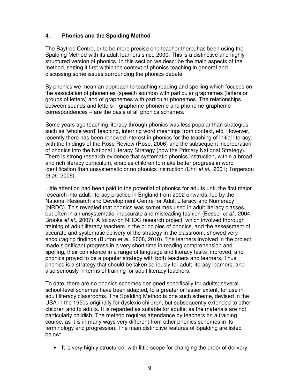#### **4. Phonics and the Spalding Method**

The Baytree Centre, or to be more precise one teacher there, has been using the Spalding Method with its adult learners since 2000. This is a distinctive and highly structured version of phonics. In this section we describe the main aspects of the method, setting it first within the context of phonics teaching in general and discussing some issues surrounding the phonics debate.

By phonics we mean an approach to teaching reading and spelling which focuses on the association of phonemes (speech sounds) with particular graphemes (letters or groups of letters) and of graphemes with particular phonemes. The relationships between sounds and letters – grapheme-phoneme and phoneme-grapheme correspondences – are the basis of all phonics schemes.

Some years ago teaching literacy through phonics was less popular than strategies such as 'whole word' teaching, inferring word meanings from context, etc. However, recently there has been renewed interest in phonics for the teaching of initial literacy, with the findings of the Rose Review (Rose, 2006) and the subsequent incorporation of phonics into the National Literacy Strategy (now the Primary National Strategy). There is strong research evidence that systematic phonics instruction, within a broad and rich literacy curriculum, enables children to make better progress in word identification than unsystematic or no phonics instruction (Ehri et al., 2001; Torgerson et al., 2006).

Little attention had been paid to the potential of phonics for adults until the first major research into adult literacy practice in England from 2002 onwards, led by the National Research and Development Centre for Adult Literacy and Numeracy (NRDC). This revealed that phonics was sometimes used in adult literacy classes, but often in an unsystematic, inaccurate and misleading fashion (Besser et al., 2004; Brooks et al., 2007). A follow-on NRDC research project, which involved thorough training of adult literacy teachers in the principles of phonics, and the assessment of accurate and systematic delivery of the strategy in the classroom, showed very encouraging findings (Burton *et al.*, 2008, 2010). The learners involved in the project made significant progress in a very short time in reading comprehension and spelling, their confidence in a range of language and literacy tasks improved, and phonics proved to be a popular strategy with both teachers and learners. Thus phonics is a strategy that should be taken seriously for adult literacy learners, and also seriously in terms of training for adult literacy teachers.

To date, there are no phonics schemes designed specifically for adults; several school-level schemes have been adapted, to a greater or lesser extent, for use in adult literacy classrooms. The Spalding Method is one such scheme, devised in the USA in the 1950s originally for dyslexic children, but subsequently extended to other children and to adults. It is regarded as suitable for adults, as the materials are not particularly childish. The method requires attendance by teachers on a training course, as it is in many ways very different from other phonics schemes in its terminology and progression. The main distinctive features of Spalding are listed below:

• It is very highly structured, with little scope for changing the order of delivery.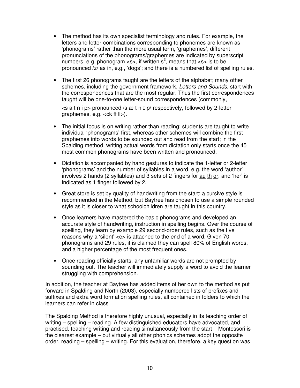- The method has its own specialist terminology and rules. For example, the letters and letter-combinations corresponding to phonemes are known as 'phonograms' rather than the more usual term, 'graphemes'; different pronunciations of the phonograms/graphemes are indicated by superscript numbers, e.g. phonogram <s>, if written  $s^2$ , means that <s> is to be pronounced /z/ as in, e.g., 'dogs'; and there is a numbered list of spelling rules.
- The first 26 phonograms taught are the letters of the alphabet; many other schemes, including the government framework, Letters and Sounds, start with the correspondences that are the most regular. Thus the first correspondences taught will be one-to-one letter-sound correspondences (commonly,

 $\leq$ s a t n i p > pronounced /s æ t n  $\leq$  p/ respectively, followed by 2-letter graphemes, e.g.  $\langle$ ck ff  $\|$  $\rangle$ ).

- The initial focus is on writing rather than reading; students are taught to write individual 'phonograms' first, whereas other schemes will combine the first graphemes into words to be sounded out and read from the start; in the Spalding method, writing actual words from dictation only starts once the 45 most common phonograms have been written and pronounced.
- Dictation is accompanied by hand gestures to indicate the 1-letter or 2-letter 'phonograms' and the number of syllables in a word, e.g. the word 'author' involves 2 hands (2 syllables) and 3 sets of 2 fingers for au th or, and 'her' is indicated as 1 finger followed by 2.
- Great store is set by quality of handwriting from the start; a cursive style is recommended in the Method, but Baytree has chosen to use a simple rounded style as it is closer to what schoolchildren are taught in this country.
- Once learners have mastered the basic phonograms and developed an accurate style of handwriting, instruction in spelling begins. Over the course of spelling, they learn by example 29 second-order rules, such as the five reasons why a 'silent' <e> is attached to the end of a word. Given 70 phonograms and 29 rules, it is claimed they can spell 80% of English words, and a higher percentage of the most frequent ones.
- Once reading officially starts, any unfamiliar words are not prompted by sounding out. The teacher will immediately supply a word to avoid the learner struggling with comprehension.

In addition, the teacher at Baytree has added items of her own to the method as put forward in Spalding and North (2003), especially numbered lists of prefixes and suffixes and extra word formation spelling rules, all contained in folders to which the learners can refer in class

The Spalding Method is therefore highly unusual, especially in its teaching order of writing – spelling – reading. A few distinguished educators have advocated, and practised, teaching writing and reading simultaneously from the start – Montessori is the clearest example – but virtually all other phonics schemes adopt the opposite order, reading – spelling – writing. For this evaluation, therefore, a key question was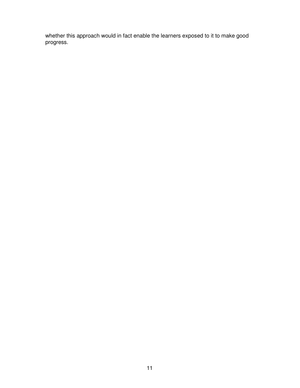whether this approach would in fact enable the learners exposed to it to make good progress.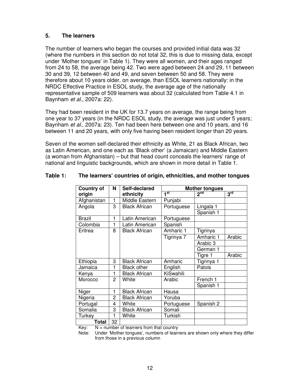#### **5. The learners**

The number of learners who began the courses and provided initial data was 32 (where the numbers in this section do not total 32, this is due to missing data, except under 'Mother tongues' in Table 1). They were all women, and their ages ranged from 24 to 58, the average being 42. Two were aged between 24 and 29, 11 between 30 and 39, 12 between 40 and 49, and seven between 50 and 58. They were therefore about 10 years older, on average, than ESOL learners nationally: in the NRDC Effective Practice in ESOL study, the average age of the nationally representative sample of 509 learners was about 32 (calculated from Table 4.1 in Baynham et al., 2007a: 22).

They had been resident in the UK for 13.7 years on average, the range being from one year to 37 years (in the NRDC ESOL study, the average was just under 5 years; Baynham et al., 2007a: 23). Ten had been here between one and 10 years, and 16 between 11 and 20 years, with only five having been resident longer than 20 years.

Seven of the women self-declared their ethnicity as White, 21 as Black African, two as Latin American, and one each as 'Black other' (a Jamaican) and Middle Eastern (a woman from Afghanistan) – but that head count conceals the learners' range of national and linguistic backgrounds, which are shown in more detail in Table 1.

| <b>Country of</b> | N              | Self-declared        |                 | <b>Mother tongues</b> |                 |
|-------------------|----------------|----------------------|-----------------|-----------------------|-----------------|
| origin            |                | ethnicity            | 1 <sup>st</sup> | 2 <sup>nd</sup>       | 3 <sup>rd</sup> |
| Afghanistan       | 1              | Middle Eastern       | Punjabi         |                       |                 |
| Angola            | 3              | <b>Black African</b> | Portuguese      | Lingala 1             |                 |
|                   |                |                      |                 | Spanish 1             |                 |
| Brazil            | 1              | Latin American       | Portuguese      |                       |                 |
| Colombia          | 1              | atin American        | Spanish         |                       |                 |
| Eritrea           | 8              | <b>Black African</b> | Amharic 1       | Tigrinya              |                 |
|                   |                |                      | Tigrinya 7      | Amharic 1             | Arabic          |
|                   |                |                      |                 | Arabic 3              |                 |
|                   |                |                      |                 | German 1              |                 |
|                   |                |                      |                 | Tigre 1               | Arabic          |
| Ethiopia          | 3              | <b>Black African</b> | Amharic         | Tigrinya 1            |                 |
| Jamaica           | 1              | <b>Black other</b>   | English         | Patois                |                 |
| Kenya             | 1              | <b>Black African</b> | KiSwahili       |                       |                 |
| Morocco           | $\overline{2}$ | White                | Arabic          | French 1              |                 |
|                   |                |                      |                 | Spanish 1             |                 |
| Niger             | 1              | <b>Black African</b> | Hausa           |                       |                 |
| Nigeria           | 2              | <b>Black African</b> | Yoruba          |                       |                 |
| Portugal          | 4              | White                | Portuguese      | Spanish 2             |                 |
| Somalia           | 3              | <b>Black African</b> | Somali          |                       |                 |
| Turkey            | 1              | White                | Turkish         |                       |                 |
| Total             | 32             |                      |                 |                       |                 |

#### **Table 1: The learners' countries of origin, ethnicities, and mother tongues**

Key:  $N =$  number of learners from that country

Note: Under 'Mother tongues', numbers of learners are shown only where they differ from those in a previous column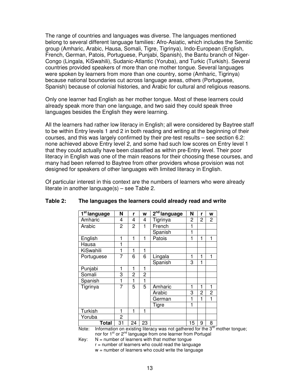The range of countries and languages was diverse. The languages mentioned belong to several different language families: Afro-Asiatic, which includes the Semitic group (Amharic, Arabic, Hausa, Somali, Tigre, Tigrinya), Indo-European (English, French, German, Patois, Portuguese, Punjabi, Spanish), the Bantu branch of Niger-Congo (Lingala, KiSwahili), Sudanic-Atlantic (Yoruba), and Turkic (Turkish). Several countries provided speakers of more than one mother tongue. Several languages were spoken by learners from more than one country, some (Amharic, Tigrinya) because national boundaries cut across language areas, others (Portuguese, Spanish) because of colonial histories, and Arabic for cultural and religious reasons.

Only one learner had English as her mother tongue. Most of these learners could already speak more than one language, and two said they could speak three languages besides the English they were learning.

All the learners had rather low literacy in English; all were considered by Baytree staff to be within Entry levels 1 and 2 in both reading and writing at the beginning of their courses, and this was largely confirmed by their pre-test results – see section 6.2: none achieved above Entry level 2, and some had such low scores on Entry level 1 that they could actually have been classified as within pre-Entry level. Their poor literacy in English was one of the main reasons for their choosing these courses, and many had been referred to Baytree from other providers whose provision was not designed for speakers of other languages with limited literacy in English.

Of particular interest in this context are the numbers of learners who were already literate in another language(s) – see Table 2.

| 1 <sup>st</sup> language | N  | r  | W            | $2nd$ language | N  | r              | W              |
|--------------------------|----|----|--------------|----------------|----|----------------|----------------|
| Amharic                  | 4  | 4  | 4            | Tigrinya       | 2  | 2              | $\overline{c}$ |
| Arabic                   | 2  | 2  | 1            | French         | 1  |                |                |
|                          |    |    |              | Spanish        | 1  |                |                |
| English                  | 1  | 1  | 1            | Patois         | 1  | 1              | 1              |
| Hausa                    | 1  |    |              |                |    |                |                |
| KiSwahili                | 1  | 1  | 1            |                |    |                |                |
| Portuguese               | 7  | 6  | 6            | Lingala        | 1  | 1              | 1              |
|                          |    |    |              | Spanish        | 3  | 1              |                |
| Punjabi                  | 1  | 1  | 1            |                |    |                |                |
| Somali                   | 3  | 2  | 2            |                |    |                |                |
| Spanish                  | 1  | 1  | 1            |                |    |                |                |
| Tigrinya                 | 7  | 5  | 5            | Amharic        | 1  | 1              | $\mathbf{1}$   |
|                          |    |    |              | Arabic         | 3  | $\overline{c}$ | 2              |
|                          |    |    |              | German         | 1  | 1              | 1              |
|                          |    |    |              | Tigre          | 1  |                |                |
| Turkish                  | 1  | 1  | $\mathbf{1}$ |                |    |                |                |
| Yoruba                   | 2  |    |              |                |    |                |                |
| <b>Total</b>             | 31 | 24 | 23           |                | 15 | 9              | 8<br><b>TN</b> |

#### **Table 2: The languages the learners could already read and write**

Note: Information on existing literacy was not gathered for the  $3^{10}$  mother tongue; nor for 1<sup>st</sup> or 2<sup>nd</sup> language from one learner from Portugal

 $Key: N = number of learners with that mother tongue$ 

 $r =$  number of learners who could read the language

 $w =$  number of learners who could write the language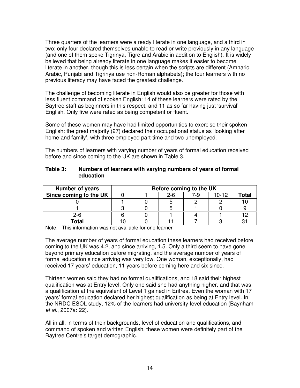Three quarters of the learners were already literate in one language, and a third in two; only four declared themselves unable to read or write previously in any language (and one of them spoke Tigrinya, Tigre and Arabic in addition to English). It is widely believed that being already literate in one language makes it easier to become literate in another, though this is less certain when the scripts are different (Amharic, Arabic, Punjabi and Tigrinya use non-Roman alphabets); the four learners with no previous literacy may have faced the greatest challenge.

The challenge of becoming literate in English would also be greater for those with less fluent command of spoken English: 14 of these learners were rated by the Baytree staff as beginners in this respect, and 11 as so far having just 'survival' English. Only five were rated as being competent or fluent.

Some of these women may have had limited opportunities to exercise their spoken English: the great majority (27) declared their occupational status as 'looking after home and family', with three employed part-time and two unemployed.

The numbers of learners with varying number of years of formal education received before and since coming to the UK are shown in Table 3.

| Table 3: | Numbers of learners with varying numbers of years of formal |
|----------|-------------------------------------------------------------|
|          | education                                                   |

| <b>Number of years</b> | Before coming to the UK |  |         |     |           |       |  |  |
|------------------------|-------------------------|--|---------|-----|-----------|-------|--|--|
| Since coming to the UK |                         |  | $2 - 6$ | 7-9 | $10 - 12$ | Total |  |  |
|                        |                         |  |         |     |           |       |  |  |
|                        |                         |  |         |     |           |       |  |  |
| $2 - 6$                |                         |  |         |     |           |       |  |  |
| Total                  |                         |  |         |     |           | Q.    |  |  |

Note: This information was not available for one learner

The average number of years of formal education these learners had received before coming to the UK was 4.2, and since arriving, 1.5. Only a third seem to have gone beyond primary education before migrating, and the average number of years of formal education since arriving was very low. One woman, exceptionally, had received 17 years' education, 11 years before coming here and six since.

Thirteen women said they had no formal qualifications, and 18 said their highest qualification was at Entry level. Only one said she had anything higher, and that was a qualification at the equivalent of Level 1 gained in Eritrea. Even the woman with 17 years' formal education declared her highest qualification as being at Entry level. In the NRDC ESOL study, 12% of the learners had university-level education (Baynham et al., 2007a: 22).

All in all, in terms of their backgrounds, level of education and qualifications, and command of spoken and written English, these women were definitely part of the Baytree Centre's target demographic.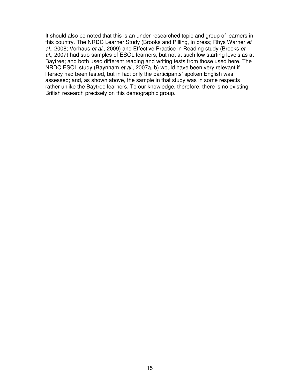It should also be noted that this is an under-researched topic and group of learners in this country. The NRDC Learner Study (Brooks and Pilling, in press; Rhys Warner et al., 2008; Vorhaus et al., 2009) and Effective Practice in Reading study (Brooks et al., 2007) had sub-samples of ESOL learners, but not at such low starting levels as at Baytree; and both used different reading and writing tests from those used here. The NRDC ESOL study (Baynham et al., 2007a, b) would have been very relevant if literacy had been tested, but in fact only the participants' spoken English was assessed; and, as shown above, the sample in that study was in some respects rather unlike the Baytree learners. To our knowledge, therefore, there is no existing British research precisely on this demographic group.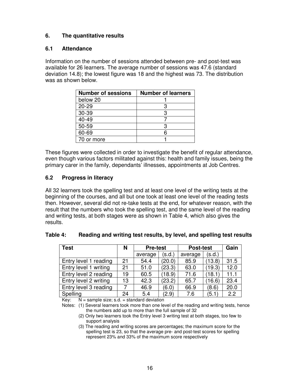#### **6. The quantitative results**

#### **6.1 Attendance**

Information on the number of sessions attended between pre- and post-test was available for 26 learners. The average number of sessions was 47.6 (standard deviation 14.8); the lowest figure was 18 and the highest was 73. The distribution was as shown below.

| <b>Number of sessions</b> | <b>Number of learners</b> |
|---------------------------|---------------------------|
| below 20                  |                           |
| $20 - 29$                 | З                         |
| 30-39                     | 3                         |
| 40-49                     |                           |
| 50-59                     | 3                         |
| 60-69                     | Բ                         |
| 70 or more                |                           |

These figures were collected in order to investigate the benefit of regular attendance, even though various factors militated against this: health and family issues, being the primary carer in the family, dependants' illnesses, appointments at Job Centres.

#### **6.2 Progress in literacy**

All 32 learners took the spelling test and at least one level of the writing tests at the beginning of the courses, and all but one took at least one level of the reading tests then. However, several did not re-take tests at the end, for whatever reason, with the result that the numbers who took the spelling test, and the same level of the reading and writing tests, at both stages were as shown in Table 4, which also gives the results.

| Table 4: |  |  |  |  | Reading and writing test results, by level, and spelling test results |
|----------|--|--|--|--|-----------------------------------------------------------------------|
|----------|--|--|--|--|-----------------------------------------------------------------------|

| <b>Test</b>           | N  | <b>Pre-test</b> |        | <b>Post-test</b> | Gain   |      |
|-----------------------|----|-----------------|--------|------------------|--------|------|
|                       |    | average         | (s.d.) | average          | (s.d.) |      |
| Entry level 1 reading | 21 | 54.4            | (20.0) | 85.9             | (13.8) | 31.5 |
| Entry level 1 writing | 21 | 51.0            | (23.3) | 63.0             | (19.3) | 12.0 |
| Entry level 2 reading | 19 | 60.5            | (18.9) | 71.6             | (18.1) | 11.1 |
| Entry level 2 writing | 13 | 42.3            | (23.2) | 65.7             | (16.6) | 23.4 |
| Entry level 3 reading |    | 46.9            | (6.0)  | 66.9             | (8.6)  | 20.0 |
| Spelling              | 24 | 5.4             | (2.9)  | 7.6              | (5.1)  | 2.2  |

Key:  $N =$  sample size; s.d. = standard deviation

Notes: (1) Several learners took more than one level of the reading and writing tests, hence the numbers add up to more than the full sample of 32

(2) Only two learners took the Entry level 3 writing test at both stages, too few to support analysis

(3) The reading and writing scores are percentages; the maximum score for the spelling test is 23, so that the average pre- and post-test scores for spelling represent 23% and 33% of the maximum score respectively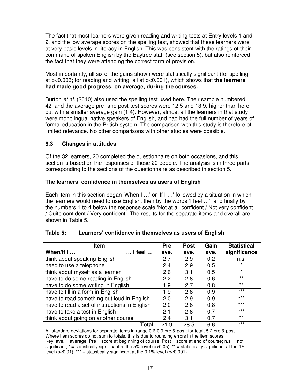The fact that most learners were given reading and writing tests at Entry levels 1 and 2, and the low average scores on the spelling test, showed that these learners were at very basic levels in literacy in English. This was consistent with the ratings of their command of spoken English by the Baytree staff (see section 5), but also reinforced the fact that they were attending the correct form of provision.

Most importantly, all six of the gains shown were statistically significant (for spelling, at p<0.003; for reading and writing, all at p<0.001), which shows that **the learners had made good progress, on average, during the courses.**

Burton et al. (2010) also used the spelling test used here. Their sample numbered 42, and the average pre- and post-test scores were 12.5 and 13.9, higher than here but with a smaller average gain (1.4). However, almost all the learners in that study were monolingual native speakers of English, and had had the full number of years of formal education in the British system. The comparison with this study is therefore of limited relevance. No other comparisons with other studies were possible.

#### **6.3 Changes in attitudes**

Of the 32 learners, 20 completed the questionnaire on both occasions, and this section is based on the responses of those 20 people. The analysis is in three parts, corresponding to the sections of the questionnaire as described in section 5.

#### **The learners' confidence in themselves as users of English**

Each item in this section began 'When I ...' or 'If I ...' followed by a situation in which the learners would need to use English, then by the words 'I feel …', and finally by the numbers 1 to 4 below the response scale 'Not at all confident / Not very confident / Quite confident / Very confident'. The results for the separate items and overall are shown in Table 5.

| <b>Item</b>                                   | Pre  | <b>Post</b> | Gain | <b>Statistical</b> |
|-----------------------------------------------|------|-------------|------|--------------------|
| When/If $I$<br>$\ldots$ I feel $\ldots$       | ave. | ave.        | ave. | significance       |
| think about speaking English                  | 2.7  | 2.9         | 0.2  | n.s.               |
| need to use a telephone                       | 2.4  | 2.9         | 0.5  | $\star$            |
| think about myself as a learner               | 2.6  | 3.1         | 0.5  | $\star$            |
| have to do some reading in English            | 2.2  | 2.8         | 0.6  | $***$              |
| have to do some writing in English            | 1.9  | 2.7         | 0.8  | $***$              |
| have to fill in a form in English             | 1.9  | 2.8         | 0.9  | $***$              |
| have to read something out loud in English    | 2.0  | 2.9         | 0.9  | $***$              |
| have to read a set of instructions in English | 2.0  | 2.8         | 0.8  | $***$              |
| have to take a test in English                | 2.1  | 2.8         | 0.7  | $***$              |
| think about going on another course           | 24   | 3.1         | 0.7  | $***$              |
| Total                                         | 21.9 | 28.5        | 6.6  | $***$              |

#### **Table 5: Learners' confidence in themselves as users of English**

All standard deviations for separate items in range 0.6-0.9 pre & post; for total, 5.2 pre & post Where item scores do not sum to totals, this is due to rounding errors in the item scores Key: ave. = average; Pre = score at beginning of course, Post = score at end of course; n.s. = not significant;  $*$  = statistically significant at the 5% level (p<0.05);  $**$  = statistically significant at the 1% level (p<0.01); \*\*\* = statistically significant at the 0.1% level (p<0.001)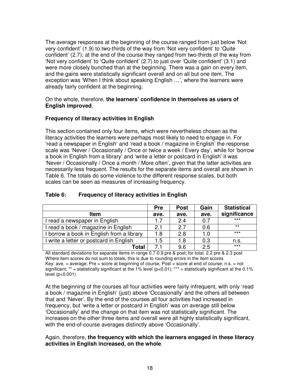The average responses at the beginning of the course ranged from just below 'Not very confident' (1.9) to two-thirds of the way from 'Not very confident' to 'Quite confident' (2.7); at the end of the course they ranged from two-thirds of the way from 'Not very confident' to 'Quite confident' (2.7) to just over 'Quite confident' (3.1) and were more closely bunched than at the beginning. There was a gain on every item, and the gains were statistically significant overall and on all but one item. The exception was 'When I think about speaking English …', where the learners were already fairly confident at the beginning.

#### On the whole, therefore, **the learners' confidence in themselves as users of English improved**.

#### **Frequency of literacy activities in English**

This section contained only four items, which were nevertheless chosen as the literacy activities the learners were perhaps most likely to need to engage in. For 'read a newspaper in English' and 'read a book / magazine in English' the response scale was 'Never / Occasionally / Once or twice a week / Every day', while for 'borrow a book in English from a library' and 'write a letter or postcard in English' it was 'Never / Occasionally / Once a month / More often', given that the latter activities are necessarily less frequent. The results for the separate items and overall are shown in Table 6. The totals do some violence to the different response scales, but both scales can be seen as measures of increasing frequency.

|                                           | <b>Pre</b> | <b>Post</b> | Gain | <b>Statistical</b> |
|-------------------------------------------|------------|-------------|------|--------------------|
| <b>Item</b>                               | ave.       | ave.        | ave. | significance       |
| I read a newspaper in English             | 1.7        | 2.4         | 0.7  | $***$              |
| I read a book / magazine in English       | 2.1        | 2.7         | 0.6  | $***$              |
| I borrow a book in English from a library | 1.8        | 2.8         | 1.0  | $***$              |
| I write a letter or postcard in English   | 1.5        | 1.8         | 0.3  | n.s.               |
| Total                                     | 7.1        | 9.6         | 2.5  | $***$              |

#### **Table 6: Frequency of literacy activities in English**

All standard deviations for separate items in range 0.7-0.9 pre & post; for total, 2.2 pre & 2.3 post Where item scores do not sum to totals, this is due to rounding errors in the item scores Key: ave. = average; Pre = score at beginning of course, Post = score at end of course; n.s. = not significant; \*\* = statistically significant at the 1% level (p<0.01); \*\*\* = statistically significant at the 0.1% level (p<0.001)

At the beginning of the courses all four activities were fairly infrequent, with only 'read a book / magazine in English' (just) above 'Occasionally' and the others all between that and 'Never'. By the end of the courses all four activities had increased in frequency, but 'write a letter or postcard in English' was on average still below 'Occasionally' and the change on that item was not statistically significant. The increases on the other three items and overall were all highly statistically significant, with the end-of-course averages distinctly above 'Occasionally'.

#### Again, therefore, **the frequency with which the learners engaged in these literacy activities in English increased, on the whole**.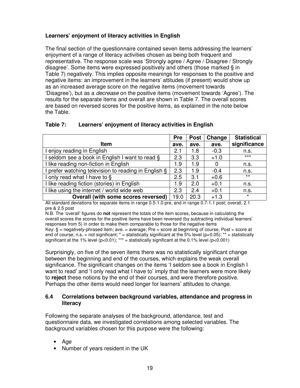#### **Learners' enjoyment of literacy activities in English**

The final section of the questionnaire contained seven items addressing the learners' enjoyment of a range of literacy activities chosen as being both frequent and representative. The response scale was 'Strongly agree / Agree / Disagree / Strongly disagree'. Some items were expressed positively and others (those marked § in Table 7) negatively. This implies opposite meanings for responses to the positive and negative items: an improvement in the learners' attitudes (if present) would show up as an increased average score on the negative items (movement towards 'Disagree'), but as a decrease on the positive items (movement towards 'Agree'). The results for the separate items and overall are shown in Table 7. The overall scores are based on reversed scores for the positive items, as explained in the note below the Table.

| Table 7: |  | Learners' enjoyment of literacy activities in English |  |  |  |
|----------|--|-------------------------------------------------------|--|--|--|
|----------|--|-------------------------------------------------------|--|--|--|

|                                                      | <b>Pre</b> | <b>Post</b> | Change | <b>Statistical</b> |
|------------------------------------------------------|------------|-------------|--------|--------------------|
| <b>Item</b>                                          | ave.       | ave.        | ave.   | significance       |
| I enjoy reading in English                           | 2.1        | 1.8         | $-0.3$ | n.s.               |
| I seldom see a book in English I want to read §      | 2.3        | 3.3         | $+1.0$ | $***$              |
| I like reading non-fiction in English                | 1.9        | 1.9         | 0      | n.s.               |
| I prefer watching television to reading in English § | 2.3        | 1.9         | $-0.4$ | n.s.               |
| I only read what I have to §                         | 2.5        | 3.1         | $+0.6$ | $***$              |
| I like reading fiction (stories) in English          | 1.9        | 2.0         | $+0.1$ | n.s.               |
| I like using the internet / world wide web           | 2.3        | 2.4         | $+0.1$ | n.s.               |
| Overall (with some scores reversed)                  | 19.0       | 20.3        | $+1.3$ | $\star$            |

All standard deviations for separate items in range 0.5-1.0 pre, and in range 0.7-1.1 post; overall, 2.1 pre & 2.5 post

N.B. The 'overall' figures do **not** represent the totals of the item scores, because in calculating the overall scores the scores for the positive items have been reversed (by subtracting individual learners' responses from 5) in order to make them comparable to those for the negative items

Key:  $\S =$  negatively-phrased item; ave.  $=$  average; Pre = score at beginning of course, Post = score at end of course; n.s. = not significant;  $* =$  statistically significant at the 5% level (p<0.05);  $** =$  statistically significant at the 1% level  $(p<0.01)$ ; \*\*\* = statistically significant at the 0.1% level  $(p<0.001)$ 

Surprisingly, on five of the seven items there was no statistically significant change between the beginning and end of the courses, which explains the weak overall significance. The significant changes on the items 'I seldom see a book in English I want to read' and 'I only read what I have to' imply that the learners were more likely to **reject** these notions by the end of their courses, and were therefore positive. Perhaps the other items would need longer for learners' attitudes to change.

#### **6.4 Correlations between background variables, attendance and progress in literacy**

Following the separate analyses of the background, attendance, test and questionnaire data, we investigated correlations among selected variables. The background variables chosen for this purpose were the following:

- Age
- Number of years resident in the UK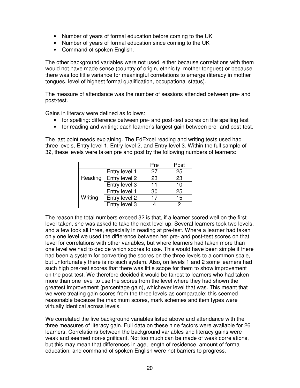- Number of years of formal education before coming to the UK
- Number of years of formal education since coming to the UK
- Command of spoken English.

The other background variables were not used, either because correlations with them would not have made sense (country of origin, ethnicity, mother tongues) or because there was too little variance for meaningful correlations to emerge (literacy in mother tongues, level of highest formal qualification, occupational status).

The measure of attendance was the number of sessions attended between pre- and post-test.

Gains in literacy were defined as follows:

- for spelling: difference between pre- and post-test scores on the spelling test
- for reading and writing: each learner's largest gain between pre- and post-test.

The last point needs explaining. The EdExcel reading and writing tests used had three levels, Entry level 1, Entry level 2, and Entry level 3. Within the full sample of 32, these levels were taken pre and post by the following numbers of learners:

|         |               | Pre | Post |
|---------|---------------|-----|------|
| Reading | Entry level 1 | 27  | 25   |
|         | Entry level 2 | 23  | 23   |
|         | Entry level 3 | 11  | 10   |
| Writing | Entry level 1 | 30  | 25   |
|         | Entry level 2 | 17  | 15   |
|         | Entry level 3 |     | っ    |

The reason the total numbers exceed 32 is that, if a learner scored well on the first level taken, she was asked to take the next level up. Several learners took two levels, and a few took all three, especially in reading at pre-test. Where a learner had taken only one level we used the difference between her pre- and post-test scores on that level for correlations with other variables, but where learners had taken more than one level we had to decide which scores to use. This would have been simple if there had been a system for converting the scores on the three levels to a common scale, but unfortunately there is no such system. Also, on levels 1 and 2 some learners had such high pre-test scores that there was little scope for them to show improvement on the post-test. We therefore decided it would be fairest to learners who had taken more than one level to use the scores from the level where they had shown the greatest improvement (percentage gain), whichever level that was. This meant that we were treating gain scores from the three levels as comparable; this seemed reasonable because the maximum scores, mark schemes and item types were virtually identical across levels.

We correlated the five background variables listed above and attendance with the three measures of literacy gain. Full data on these nine factors were available for 26 learners. Correlations between the background variables and literacy gains were weak and seemed non-significant. Not too much can be made of weak correlations, but this may mean that differences in age, length of residence, amount of formal education, and command of spoken English were not barriers to progress.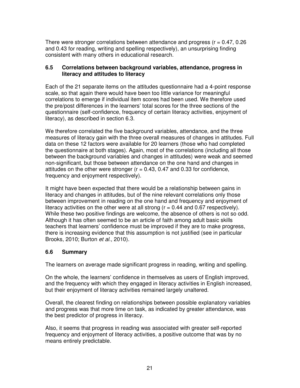There were stronger correlations between attendance and progress ( $r = 0.47, 0.26$ ) and 0.43 for reading, writing and spelling respectively), an unsurprising finding consistent with many others in educational research.

#### **6.5 Correlations between background variables, attendance, progress in literacy and attitudes to literacy**

Each of the 21 separate items on the attitudes questionnaire had a 4-point response scale, so that again there would have been too little variance for meaningful correlations to emerge if individual item scores had been used. We therefore used the pre/post differences in the learners' total scores for the three sections of the questionnaire (self-confidence, frequency of certain literacy activities, enjoyment of literacy), as described in section 6.3.

We therefore correlated the five background variables, attendance, and the three measures of literacy gain with the three overall measures of changes in attitudes. Full data on these 12 factors were available for 20 learners (those who had completed the questionnaire at both stages). Again, most of the correlations (including all those between the background variables and changes in attitudes) were weak and seemed non-significant, but those between attendance on the one hand and changes in attitudes on the other were stronger ( $r = 0.43, 0.47$  and 0.33 for confidence, frequency and enjoyment respectively).

It might have been expected that there would be a relationship between gains in literacy and changes in attitudes, but of the nine relevant correlations only those between improvement in reading on the one hand and frequency and enjoyment of literacy activities on the other were at all strong  $(r = 0.44$  and 0.67 respectively). While these two positive findings are welcome, the absence of others is not so odd. Although it has often seemed to be an article of faith among adult basic skills teachers that learners' confidence must be improved if they are to make progress, there is increasing evidence that this assumption is not justified (see in particular Brooks, 2010; Burton et al., 2010).

#### **6.6 Summary**

The learners on average made significant progress in reading, writing and spelling.

On the whole, the learners' confidence in themselves as users of English improved, and the frequency with which they engaged in literacy activities in English increased, but their enjoyment of literacy activities remained largely unaltered.

Overall, the clearest finding on relationships between possible explanatory variables and progress was that more time on task, as indicated by greater attendance, was the best predictor of progress in literacy.

Also, it seems that progress in reading was associated with greater self-reported frequency and enjoyment of literacy activities, a positive outcome that was by no means entirely predictable.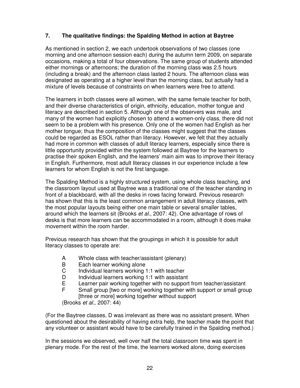#### **7. The qualitative findings: the Spalding Method in action at Baytree**

As mentioned in section 2, we each undertook observations of two classes (one morning and one afternoon session each) during the autumn term 2009, on separate occasions, making a total of four observations. The same group of students attended either mornings or afternoons; the duration of the morning class was 2.5 hours (including a break) and the afternoon class lasted 2 hours. The afternoon class was designated as operating at a higher level than the morning class, but actually had a mixture of levels because of constraints on when learners were free to attend.

The learners in both classes were all women, with the same female teacher for both, and their diverse characteristics of origin, ethnicity, education, mother tongue and literacy are described in section 5. Although one of the observers was male, and many of the women had explicitly chosen to attend a women-only class, there did not seem to be a problem with his presence. Only one of the women had English as her mother tongue; thus the composition of the classes might suggest that the classes could be regarded as ESOL rather than literacy. However, we felt that they actually had more in common with classes of adult literacy learners, especially since there is little opportunity provided within the system followed at Baytree for the learners to practise their spoken English, and the learners' main aim was to improve their literacy in English. Furthermore, most adult literacy classes in our experience include a few learners for whom English is not the first language.

The Spalding Method is a highly structured system, using whole class teaching, and the classroom layout used at Baytree was a traditional one of the teacher standing in front of a blackboard, with all the desks in rows facing forward. Previous research has shown that this is the least common arrangement in adult literacy classes, with the most popular layouts being either one main table or several smaller tables, around which the learners sit (Brooks et al., 2007: 42). One advantage of rows of desks is that more learners can be accommodated in a room, although it does make movement within the room harder.

Previous research has shown that the groupings in which it is possible for adult literacy classes to operate are:

- A Whole class with teacher/assistant (plenary)<br>B Each learner working alone
- Each learner working alone
- C Individual learners working 1:1 with teacher
- D Individual learners working 1:1 with assistant<br>E Learner pair working together with no support
- E Learner pair working together with no support from teacher/assistant<br>E Small group ftwo or morel working together with support or small group
- Small group [two or more] working together with support or small group [three or more] working together without support

(Brooks et al., 2007: 44)

(For the Baytree classes, D was irrelevant as there was no assistant present. When questioned about the desirability of having extra help, the teacher made the point that any volunteer or assistant would have to be carefully trained in the Spalding method.)

In the sessions we observed, well over half the total classroom time was spent in plenary mode. For the rest of the time, the learners worked alone, doing exercises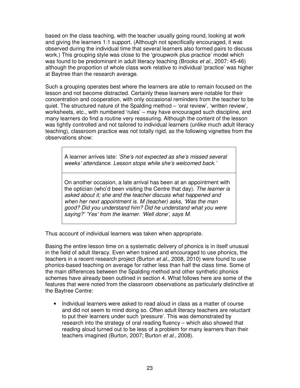based on the class teaching, with the teacher usually going round, looking at work and giving the learners 1:1 support. (Although not specifically encouraged, it was observed during the individual time that several learners also formed pairs to discuss work.) This grouping style was close to the 'groupwork plus practice' model which was found to be predominant in adult literacy teaching (Brooks *et al.*, 2007: 45-46) although the proportion of whole class work relative to individual 'practice' was higher at Baytree than the research average.

Such a grouping operates best where the learners are able to remain focused on the lesson and not become distracted. Certainly these learners were notable for their concentration and cooperation, with only occasional reminders from the teacher to be quiet. The structured nature of the Spalding method – 'oral review', 'written review', worksheets, etc., with numbered 'rules' – may have encouraged such discipline, and many learners do find a routine very reassuring. Although the content of the lesson was tightly controlled and not tailored to individual learners (unlike much adult literacy teaching), classroom practice was not totally rigid, as the following vignettes from the observations show:

A learner arrives late: 'She's not expected as she's missed several weeks' attendance. Lesson stops while she's welcomed back.'

On another occasion, a late arrival has been at an appointment with the optician (who'd been visiting the Centre that day). The learner is asked about it; she and the teacher discuss what happened and when her next appointment is. M (teacher) asks, 'Was the man good? Did you understand him? Did he understand what you were saying?' 'Yes' from the learner. 'Well done', says M.

Thus account of individual learners was taken when appropriate.

Basing the entire lesson time on a systematic delivery of phonics is in itself unusual in the field of adult literacy. Even when trained and encouraged to use phonics, the teachers in a recent research project (Burton et al., 2008, 2010) were found to use phonics-based teaching on average for rather less than half the class time. Some of the main differences between the Spalding method and other synthetic phonics schemes have already been outlined in section 4. What follows here are some of the features that were noted from the classroom observations as particularly distinctive at the Baytree Centre:

• Individual learners were asked to read aloud in class as a matter of course and did not seem to mind doing so. Often adult literacy teachers are reluctant to put their learners under such 'pressure'. This was demonstrated by research into the strategy of oral reading fluency – which also showed that reading aloud turned out to be less of a problem for many learners than their teachers imagined (Burton, 2007; Burton et al., 2008).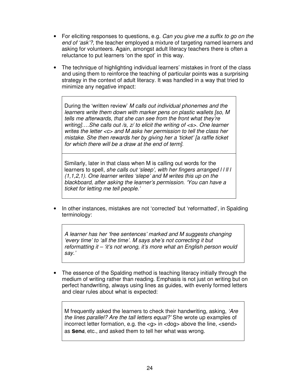- For eliciting responses to questions, e.g. Can you give me a suffix to go on the end of 'ask'?, the teacher employed a mixture of targeting named learners and asking for volunteers. Again, amongst adult literacy teachers there is often a reluctance to put learners 'on the spot' in this way.
- The technique of highlighting individual learners' mistakes in front of the class and using them to reinforce the teaching of particular points was a surprising strategy in the context of adult literacy. It was handled in a way that tried to minimize any negative impact:

During the 'written review' M calls out individual phonemes and the learners write them down with marker pens on plastic wallets [so, M tells me afterwards, that she can see from the front what they're writing]....She calls out /s, z/ to elicit the writing of <s>. One learner writes the letter <c> and M asks her permission to tell the class her mistake. She then rewards her by giving her a 'ticket' [a raffle ticket for which there will be a draw at the end of term].

Similarly, later in that class when M is calling out words for the learners to spell, she calls out 'sleep', with her fingers arranged IIIII (1,1,2,1). One learner writes 'slepe' and M writes this up on the blackboard, after asking the learner's permission. 'You can have a ticket for letting me tell people.'

• In other instances, mistakes are not 'corrected' but 'reformatted', in Spalding terminology:

A learner has her 'free sentences' marked and M suggests changing 'every time' to 'all the time'. M says she's not correcting it but reformatting it – 'it's not wrong, it's more what an English person would say.'

• The essence of the Spalding method is teaching literacy initially through the medium of writing rather than reading. Emphasis is not just on writing but on perfect handwriting, always using lines as guides, with evenly formed letters and clear rules about what is expected:

M frequently asked the learners to check their handwriting, asking, 'Are the lines parallel? Are the tall letters equal?' She wrote up examples of incorrect letter formation, e.g. the  $\langle$ g $\rangle$  in  $\langle$ dog $\rangle$  above the line,  $\langle$ send $\rangle$ as **send**, etc., and asked them to tell her what was wrong.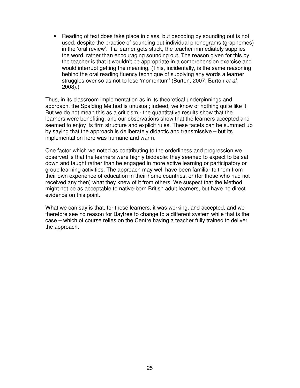• Reading of text does take place in class, but decoding by sounding out is not used, despite the practice of sounding out individual phonograms (graphemes) in the 'oral review'. If a learner gets stuck, the teacher immediately supplies the word, rather than encouraging sounding out. The reason given for this by the teacher is that it wouldn't be appropriate in a comprehension exercise and would interrupt getting the meaning. (This, incidentally, is the same reasoning behind the oral reading fluency technique of supplying any words a learner struggles over so as not to lose 'momentum' (Burton, 2007; Burton et al, 2008).)

Thus, in its classroom implementation as in its theoretical underpinnings and approach, the Spalding Method is unusual; indeed, we know of nothing quite like it. But we do not mean this as a criticism - the quantitative results show that the learners were benefiting, and our observations show that the learners accepted and seemed to enjoy its firm structure and explicit rules. These facets can be summed up by saying that the approach is deliberately didactic and transmissive – but its implementation here was humane and warm.

One factor which we noted as contributing to the orderliness and progression we observed is that the learners were highly biddable: they seemed to expect to be sat down and taught rather than be engaged in more active learning or participatory or group learning activities. The approach may well have been familiar to them from their own experience of education in their home countries, or (for those who had not received any then) what they knew of it from others. We suspect that the Method might not be as acceptable to native-born British adult learners, but have no direct evidence on this point.

What we can say is that, for these learners, it was working, and accepted, and we therefore see no reason for Baytree to change to a different system while that is the case – which of course relies on the Centre having a teacher fully trained to deliver the approach.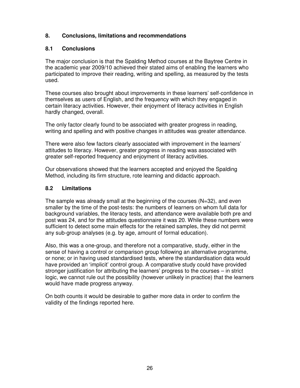#### **8. Conclusions, limitations and recommendations**

#### **8.1 Conclusions**

The major conclusion is that the Spalding Method courses at the Baytree Centre in the academic year 2009/10 achieved their stated aims of enabling the learners who participated to improve their reading, writing and spelling, as measured by the tests used.

These courses also brought about improvements in these learners' self-confidence in themselves as users of English, and the frequency with which they engaged in certain literacy activities. However, their enjoyment of literacy activities in English hardly changed, overall.

The only factor clearly found to be associated with greater progress in reading, writing and spelling and with positive changes in attitudes was greater attendance.

There were also few factors clearly associated with improvement in the learners' attitudes to literacy. However, greater progress in reading was associated with greater self-reported frequency and enjoyment of literacy activities.

Our observations showed that the learners accepted and enjoyed the Spalding Method, including its firm structure, rote learning and didactic approach.

#### **8.2 Limitations**

The sample was already small at the beginning of the courses  $(N=32)$ , and even smaller by the time of the post-tests: the numbers of learners on whom full data for background variables, the literacy tests, and attendance were available both pre and post was 24, and for the attitudes questionnaire it was 20. While these numbers were sufficient to detect some main effects for the retained samples, they did not permit any sub-group analyses (e.g. by age, amount of formal education).

Also, this was a one-group, and therefore not a comparative, study, either in the sense of having a control or comparison group following an alternative programme, or none; or in having used standardised tests, where the standardisation data would have provided an 'implicit' control group. A comparative study could have provided stronger justification for attributing the learners' progress to the courses – in strict logic, we cannot rule out the possibility (however unlikely in practice) that the learners would have made progress anyway.

On both counts it would be desirable to gather more data in order to confirm the validity of the findings reported here.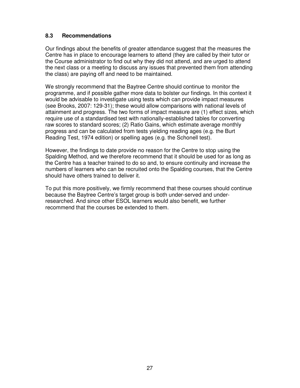#### **8.3 Recommendations**

Our findings about the benefits of greater attendance suggest that the measures the Centre has in place to encourage learners to attend (they are called by their tutor or the Course administrator to find out why they did not attend, and are urged to attend the next class or a meeting to discuss any issues that prevented them from attending the class) are paying off and need to be maintained.

We strongly recommend that the Baytree Centre should continue to monitor the programme, and if possible gather more data to bolster our findings. In this context it would be advisable to investigate using tests which can provide impact measures (see Brooks, 2007: 129-31); these would allow comparisons with national levels of attainment and progress. The two forms of impact measure are (1) effect sizes, which require use of a standardised test with nationally-established tables for converting raw scores to standard scores; (2) Ratio Gains, which estimate average monthly progress and can be calculated from tests yielding reading ages (e.g. the Burt Reading Test, 1974 edition) or spelling ages (e.g. the Schonell test).

However, the findings to date provide no reason for the Centre to stop using the Spalding Method, and we therefore recommend that it should be used for as long as the Centre has a teacher trained to do so and, to ensure continuity and increase the numbers of learners who can be recruited onto the Spalding courses, that the Centre should have others trained to deliver it.

To put this more positively, we firmly recommend that these courses should continue because the Baytree Centre's target group is both under-served and underresearched. And since other ESOL learners would also benefit, we further recommend that the courses be extended to them.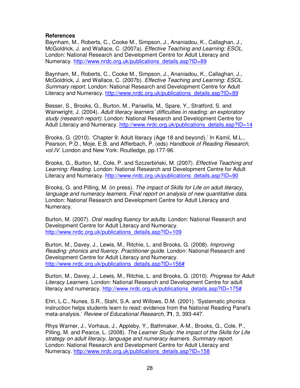#### **References**

Baynham, M., Roberts, C., Cooke M., Simpson, J., Ananiadou, K., Callaghan, J., McGoldrick, J. and Wallace, C. (2007a). Effective Teaching and Learning: ESOL. London: National Research and Development Centre for Adult Literacy and Numeracy. http://www.nrdc.org.uk/publications\_details.asp?ID=89

Baynham, M., Roberts, C., Cooke M., Simpson, J., Ananiadou, K., Callaghan, J., McGoldrick, J. and Wallace, C. (2007b). Effective Teaching and Learning: ESOL. Summary report. London: National Research and Development Centre for Adult Literacy and Numeracy. http://www.nrdc.org.uk/publications\_details.asp?ID=89

Besser, S., Brooks, G., Burton, M., Parisella, M., Spare, Y., Stratford, S. and Wainwright, J. (2004). Adult literacy learners' difficulties in reading: an exploratory study (research report). London: National Research and Development Centre for Adult Literacy and Numeracy. http://www.nrdc.org.uk/publications\_details.asp?ID=14

Brooks, G. (2010). 'Chapter 9: Adult literacy (Age 18 and beyond).' In Kamil, M.L., Pearson, P.D., Moje, E.B. and Afflerbach, P. (eds) Handbook of Reading Research, vol.IV. London and New York: Routledge, pp.177-96.

Brooks, G., Burton, M., Cole, P. and Szczerbiński, M. (2007). Effective Teaching and Learning: Reading. London: National Research and Development Centre for Adult Literacy and Numeracy. http://www.nrdc.org.uk/publications\_details.asp?ID=90

Brooks, G. and Pilling, M. (in press). The impact of Skills for Life on adult literacy, language and numeracy learners. Final report on analysis of new quantitative data. London: National Research and Development Centre for Adult Literacy and Numeracy.

Burton, M. (2007). Oral reading fluency for adults. London: National Research and Development Centre for Adult Literacy and Numeracy. http://www.nrdc.org.uk/publications\_details.asp?ID=109

Burton, M., Davey, J., Lewis, M., Ritchie, L. and Brooks, G. (2008). Improving Reading: phonics and fluency. Practitioner guide. London: National Research and Development Centre for Adult Literacy and Numeracy. http://www.nrdc.org.uk/publications\_details.asp?ID=156#

Burton, M., Davey, J., Lewis, M., Ritchie, L. and Brooks, G. (2010). Progress for Adult Literacy Learners. London: National Research and Development Centre for adult literacy and numeracy. http://www.nrdc.org.uk/publications\_details.asp?ID=175#

Ehri, L.C., Nunes, S.R., Stahl, S.A. and Willows, D.M. (2001). 'Systematic phonics instruction helps students learn to read: evidence from the National Reading Panel's meta-analysis.' Review of Educational Research, **71**, 3, 393-447.

Rhys Warner, J., Vorhaus, J., Appleby, Y., Bathmaker, A-M., Brooks, G., Cole, P., Pilling, M. and Pearce, L. (2008). The Learner Study: the impact of the Skills for Life strategy on adult literacy, language and numeracy learners. Summary report. London: National Research and Development Centre for Adult Literacy and Numeracy. http://www.nrdc.org.uk/publications\_details.asp?ID=158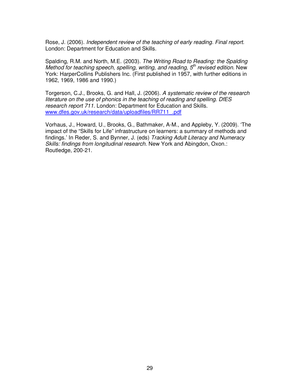Rose, J. (2006). Independent review of the teaching of early reading. Final report. London: Department for Education and Skills.

Spalding, R.M. and North, M.E. (2003). The Writing Road to Reading: the Spalding Method for teaching speech, spelling, writing, and reading,  $5<sup>th</sup>$  revised edition. New York: HarperCollins Publishers Inc. (First published in 1957, with further editions in 1962, 1969, 1986 and 1990.)

Torgerson, C.J., Brooks, G. and Hall, J. (2006). A systematic review of the research literature on the use of phonics in the teaching of reading and spelling. DfES research report 711. London: Department for Education and Skills. www.dfes.gov.uk/research/data/uploadfiles/RR711\_.pdf

Vorhaus, J., Howard, U., Brooks, G., Bathmaker, A-M., and Appleby, Y. (2009). 'The impact of the "Skills for Life" infrastructure on learners: a summary of methods and findings.' In Reder, S. and Bynner, J. (eds) Tracking Adult Literacy and Numeracy Skills: findings from longitudinal research. New York and Abingdon, Oxon.: Routledge, 200-21.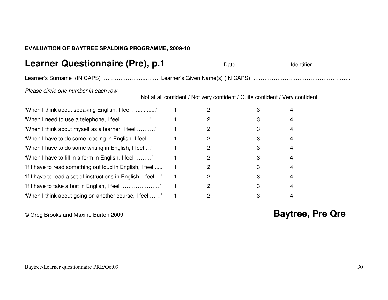#### **EVALUATION OF BAYTREE SPALDING PROGRAMME, 2009-10**

### **Learner Questionnaire (Pre), p.1**

Date .............. Identifier ………………..

Learner's Surname (IN CAPS) ………………………… Learner's Given Name(s) (IN CAPS) ……………………………………………………

Please circle one number in each row

Not at all confident / Not very confident / Quite confident / Very confident

| 'When I think about speaking English, I feel '                |  |   | 4              |
|---------------------------------------------------------------|--|---|----------------|
| 'When I need to use a telephone, I feel '                     |  |   | 4              |
| 'When I think about myself as a learner, I feel '             |  |   | 4              |
| 'When I have to do some reading in English, I feel '          |  |   | 4              |
| 'When I have to do some writing in English, I feel '          |  | 2 | 4              |
| 'When I have to fill in a form in English, I feel '           |  | 2 | $\overline{4}$ |
| 'If I have to read something out loud in English, I feel '    |  |   | 4              |
| 'If I have to read a set of instructions in English, I feel ' |  |   | 4              |
|                                                               |  | 2 | 4              |
| 'When I think about going on another course, I feel '         |  |   | 4              |

### © Greg Brooks and Maxine Burton 2009 **Baytree, Pre Qre**